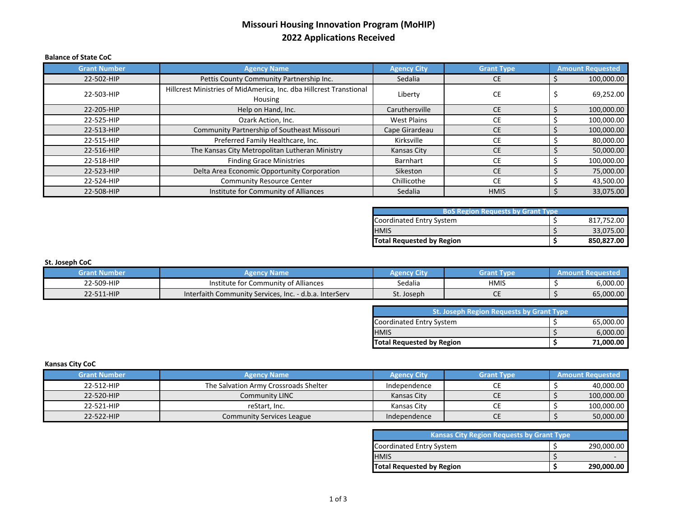## **Missouri Housing Innovation Program (MoHIP) 2022 Applications Received**

#### **Balance of State CoC**

| <b>Grant Number</b> | <b>Agency Name</b>                                                            | <b>Agency City</b> | <b>Grant Type</b> | <b>Amount Requested</b> |
|---------------------|-------------------------------------------------------------------------------|--------------------|-------------------|-------------------------|
| 22-502-HIP          | Pettis County Community Partnership Inc.                                      | Sedalia            | <b>CE</b>         | 100,000.00              |
| 22-503-HIP          | Hillcrest Ministries of MidAmerica, Inc. dba Hillcrest Transtional<br>Housing | Liberty            | CE                | 69,252.00               |
| 22-205-HIP          | Help on Hand, Inc.                                                            | Caruthersville     | <b>CE</b>         | 100,000.00              |
| 22-525-HIP          | Ozark Action, Inc.                                                            | <b>West Plains</b> | <b>CE</b>         | 100,000.00              |
| 22-513-HIP          | Community Partnership of Southeast Missouri                                   | Cape Girardeau     | <b>CE</b>         | 100,000.00              |
| 22-515-HIP          | Preferred Family Healthcare, Inc.                                             | Kirksville         | СE                | 80,000.00               |
| 22-516-HIP          | The Kansas City Metropolitan Lutheran Ministry                                | Kansas City        | <b>CE</b>         | 50,000.00               |
| 22-518-HIP          | <b>Finding Grace Ministries</b>                                               | Barnhart           | <b>CE</b>         | 100,000.00              |
| 22-523-HIP          | Delta Area Economic Opportunity Corporation                                   | Sikeston           | <b>CE</b>         | 75,000.00               |
| 22-524-HIP          | <b>Community Resource Center</b>                                              | Chillicothe        | <b>CE</b>         | 43,500.00               |
| 22-508-HIP          | Institute for Community of Alliances                                          | Sedalia            | <b>HMIS</b>       | 33,075.00               |

| <b>BoS Region Requests by Grant Type</b> |  |            |  |  |  |
|------------------------------------------|--|------------|--|--|--|
| Coordinated Entry System                 |  | 817,752.00 |  |  |  |
| <b>HMIS</b>                              |  | 33,075.00  |  |  |  |
| <b>Total Requested by Region</b>         |  | 850,827.00 |  |  |  |

## **St. Joseph CoC**

| <b>Grant Number</b> | ิ่ง Name<br><b>Pency</b>                                         | City<br><b>Agency</b> | <b>Grant Type</b> | um<br>Amo |
|---------------------|------------------------------------------------------------------|-----------------------|-------------------|-----------|
| 22-509-HIP          | nstitute for C<br>r Community of Alliances                       | Sedalia               | <b>HMIS</b>       | 6,000.00  |
| 22-511-HIP          | Interfaith Community Services,<br>. - d.b.a. InterServ<br>. Inc. | St. Joseph            | ◡└                | 65,000.00 |

| <b>St. Joseph Region Requests by Grant Type</b> |  |           |  |  |  |
|-------------------------------------------------|--|-----------|--|--|--|
| Coordinated Entry System                        |  | 65,000.00 |  |  |  |
| <b>HMIS</b>                                     |  | 6,000.00  |  |  |  |
| <b>Total Requested by Region</b>                |  | 71.000.00 |  |  |  |

#### **Kansas City CoC**

| <b>Grant Number</b> | <b>Agency Name</b>                    | <b>Agency City</b> | Grant Type | <b>Amount Requested</b> |
|---------------------|---------------------------------------|--------------------|------------|-------------------------|
| 22-512-HIP          | The Salvation Army Crossroads Shelter | Independence       |            | 40.000.00               |
| 22-520-HIP          | <b>Community LINC</b>                 | Kansas City        | ᄕ          | 100,000.00              |
| 22-521-HIP          | reStart. Inc.                         | Kansas City        |            | 100,000.00              |
| 22-522-HIP          | <b>Community Services League</b>      | Independence       | CE         | 50,000.00               |

| <b>Kansas City Region Requests by Grant Type</b> |  |            |  |  |
|--------------------------------------------------|--|------------|--|--|
| Coordinated Entry System                         |  | 290,000.00 |  |  |
| <b>HMIS</b>                                      |  |            |  |  |
| <b>Total Requested by Region</b>                 |  | 290.000.00 |  |  |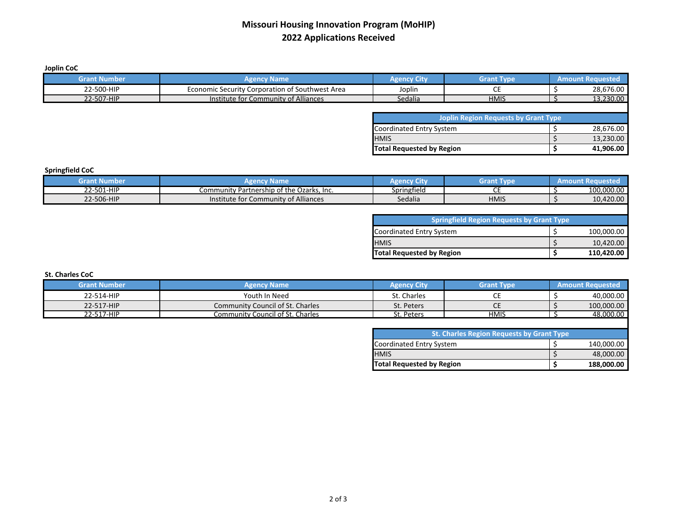## **Missouri Housing Innovation Program (MoHIP) 2022 Applications Received**

**Joplin CoC**

| <b>Grant Number</b> | <b>Agency Name</b>                              | <b>Agency City</b>               | <b>Grant Type</b>                           | <b>Amount Requested</b> |
|---------------------|-------------------------------------------------|----------------------------------|---------------------------------------------|-------------------------|
| 22-500-HIP          | Economic Security Corporation of Southwest Area | Joplin                           | <b>CE</b>                                   | 28,676.00               |
| 22-507-HIP          | Institute for Community of Alliances            | Sedalia                          | <b>HMIS</b>                                 | 13,230.00               |
|                     |                                                 |                                  |                                             |                         |
|                     |                                                 |                                  | <b>Joplin Region Requests by Grant Type</b> |                         |
|                     |                                                 | Coordinated Entry System         |                                             | 28,676.00               |
|                     |                                                 | <b>HMIS</b>                      |                                             | 13,230.00               |
|                     |                                                 | <b>Total Requested by Region</b> |                                             | 41,906.00               |

## **Springfield CoC**

| srant<br>t Numbe | .Name<br>.                                     | чень.       | Grant       | лно<br>nunt Ret<br>Amt |
|------------------|------------------------------------------------|-------------|-------------|------------------------|
| 22-501-HIP       | Community Partnership of the Q<br>Ozarks, Inc. | Springfield |             | 100.000.00             |
| 22-506-HIP       | Community of Alliances<br>Institute for C      | Sedalia     | <b>HMIS</b> | 10,420.00              |

| <b>Springfield Region Requests by Grant Type</b> |  |            |  |  |  |
|--------------------------------------------------|--|------------|--|--|--|
| Coordinated Entry System                         |  | 100,000.00 |  |  |  |
| <b>HMIS</b>                                      |  | 10,420.00  |  |  |  |
| <b>Total Requested by Region</b>                 |  | 110.420.00 |  |  |  |

**St. Charles CoC**

| <b>Grant Number</b> | <b>Agency Name</b>                      | <b>Agency City</b> | <b>Grant Type</b> | <b>Amount Requested</b> |
|---------------------|-----------------------------------------|--------------------|-------------------|-------------------------|
| 22-514-HIP          | Youth In Need                           | St. Charles        | ີ                 | 40,000.00               |
| 22-517-HIP          | <b>Community Council of St. Charles</b> | St. Peters         | ີ                 | 100,000.00              |
| 22-517-HIP          | <b>Community Council of St. Charles</b> | t. Peters          | <b>HMIS</b>       | 48.000.00               |

| <b>St. Charles Region Requests by Grant Type</b> |  |            |  |  |
|--------------------------------------------------|--|------------|--|--|
| Coordinated Entry System                         |  | 140,000.00 |  |  |
| <b>HMIS</b>                                      |  | 48,000.00  |  |  |
| <b>Total Requested by Region</b>                 |  | 188.000.00 |  |  |